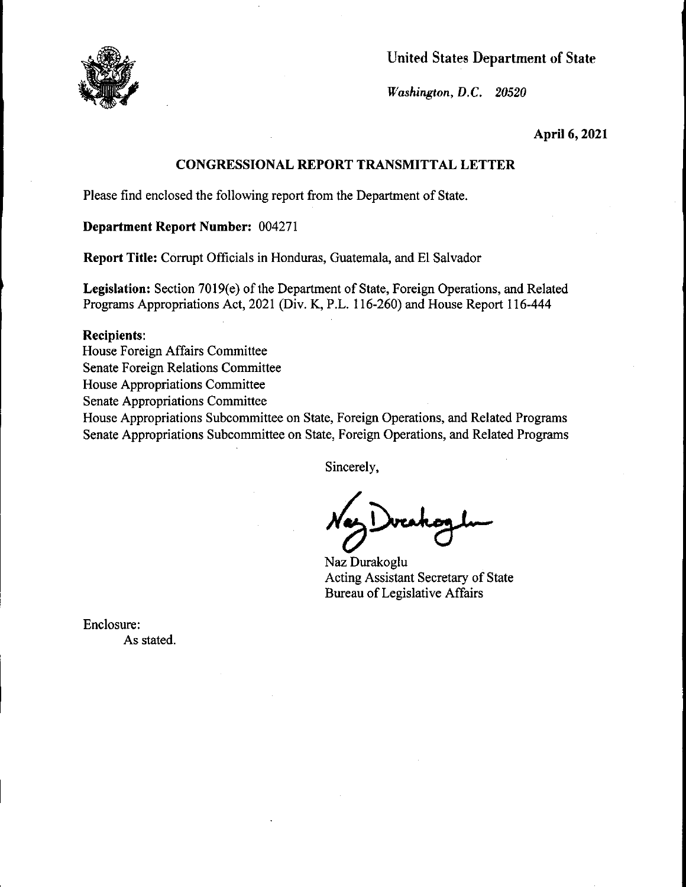

United States Department of State

*Wa.shington,* D.C. *20520* 

**April 6, 2021** 

## **CONGRESSIONAL REPORT TRANSMITTAL LETTER**

Please find enclosed the following report from the Department of State.

**Department Report Number:** 004271

**Report Title:** Corrupt Officials in Honduras, Guatemala, and El Salvador

**Legislation:** Section 7019(e) of the Department of State, Foreign Operations, and Related Programs Appropriations Act, 2021 (Div. **K,** P.L. 116-260) and House Report 116-444

#### **Recipients:**

House Foreign Affairs Committee

Senate Foreign Relations Committee

House Appropriations Committee

Senate Appropriations Committee

House Appropriations Subcommittee on State, Foreign Operations, and Related Programs Senate Appropriations Subcommittee on State, Foreign Operations, and Related Programs

Sincerely,

 $N_{\gamma}>0$ 

Naz Durakoglu Acting Assistant Secretary of State Bureau of Legislative Affairs

Enclosure: As stated.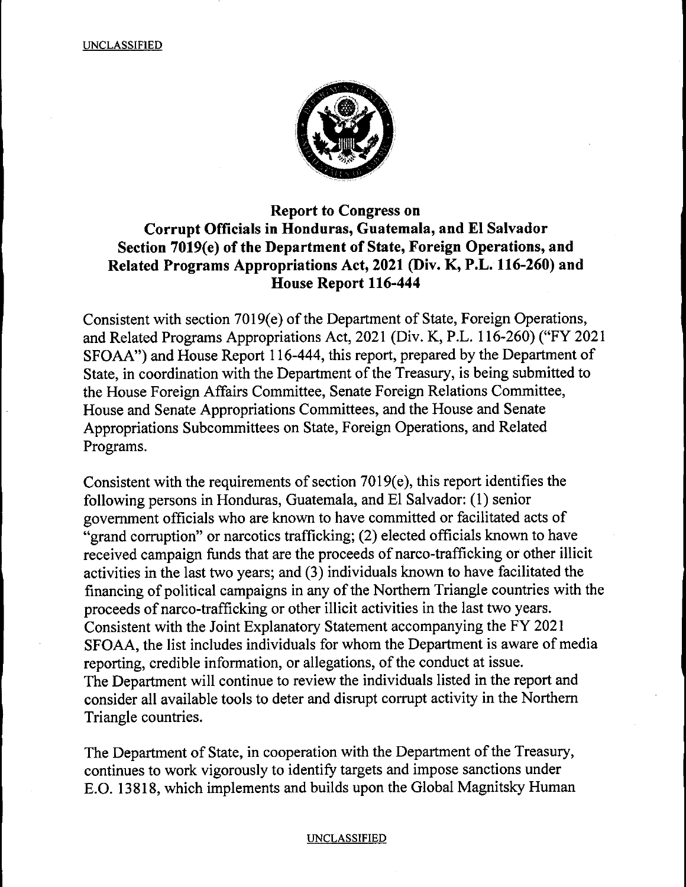

# **Report to Congress on Corrupt Officials in Honduras, Guatemala, and El Salvador Section 7019(e) of the Department of State, Foreign Operations, and Related Programs Appropriations Act, 2021 (Div. K, P.L. 116-260) and House Report 116-444**

Consistent with section 7019(e) of the Department of State, Foreign Operations, and Related Programs Appropriations Act, 2021 (Div. K, P.L. 116-260) ("FY 2021 SFOAA") and House Report 116-444, this report, prepared by the Department of State, in coordination with the Department of the Treasury, is being submitted to the House Foreign Affairs Committee, Senate Foreign Relations Committee, House and Senate Appropriations Committees, and the House and Senate Appropriations Subcommittees on State, Foreign Operations, and Related Programs.

Consistent with the requirements of section  $7019(e)$ , this report identifies the following persons in Honduras, Guatemala, and El Salvador: (1) senior government officials who are known to have committed or facilitated acts of "grand corruption" or narcotics trafficking; (2) elected officials known to have received campaign funds that are the proceeds of narco-trafficking or other illicit activities in the last two years; and (3) individuals known to have facilitated the financing of political campaigns in any of the Northern Triangle countries with the proceeds of narco-trafficking or other illicit activities in the last two years. Consistent with the Joint Explanatory Statement accompanying the FY 2021 SFOAA, the list includes individuals for whom the Department is aware of media reporting, credible information, or allegations, of the conduct at issue. The Department will continue to review the individuals listed in the report and consider all available tools to deter and disrupt corrupt activity in the Northern Triangle countries.

The Department of State, in cooperation with the Department of the Treasury, continues to work vigorously to identify targets and impose sanctions under E.0. 13818, which implements and builds upon the Global Magnitsky Human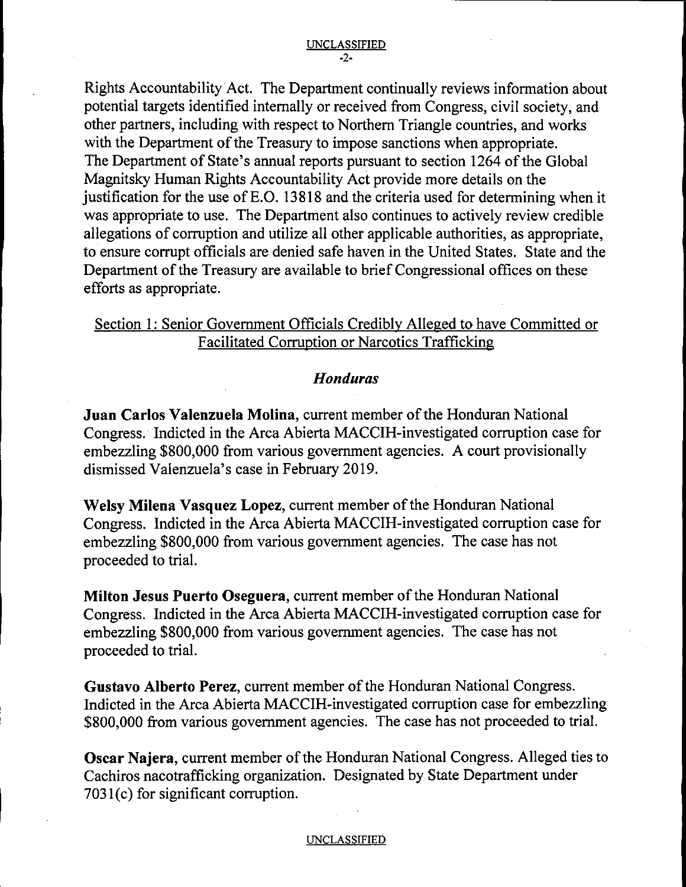Rights Accountability Act. The Department continually reviews information about potential targets identified internally or received from Congress, civil society, and other partners, including with respect to Northern Triangle countries, and works with the Department of the Treasury to impose sanctions when appropriate. The Department of State's annual reports pursuant to section 1264 of the Global Magnitsky Human Rights Accountability Act provide more details on the justification for the use of E.O. 13818 and the criteria used for determining when it was appropriate to use. The Department also continues to actively review credible allegations of corruption and utilize all other applicable authorities, as appropriate, to ensure corrupt officials are denied safe haven in the United States. State and the Department of the Treasury are available to brief Congressional offices on these efforts as appropriate.

# Section 1: Senior Government Officials Credibly Alleged to have Committed or Facilitated Corruption or Narcotics Trafficking

## *Honduras*

**Juan Carlos Valenzuela Molina,** current member of the Honduran National Congress.· Indicted in the Arca Abierta MACCIH-investigated corruption case for embezzling \$800,000 from various government agencies. A court provisionally dismissed Valenzuela's case in February 2019.

**Welsy Milena Vasquez Lopez,** current member of the Honduran National Congress. Indicted in the Arca Abierta MACCIH-investigated corruption case for embezzling \$800,000 from various government agencies. The case has not proceeded to trial.

**Milton Jesus Puerto Oseguera,** current member of the Honduran National Congress. Indicted in the Arca Abierta MACCIH-investigated corruption case for embezzling \$800,000 from various government agencies. The case has not proceeded to trial.

**Gustavo Alberto Perez,** current member of the Honduran National Congress. Indicted in the Arca Abierta MACCIH-investigated corruption case for embezzling \$800,000 from various government agencies. The case has not proceeded to trial.

**Oscar Najera,** current member of the Honduran National Congress. Alleged ties to Cachiros nacotrafficking organization. Designated by State Department under  $7031(c)$  for significant corruption.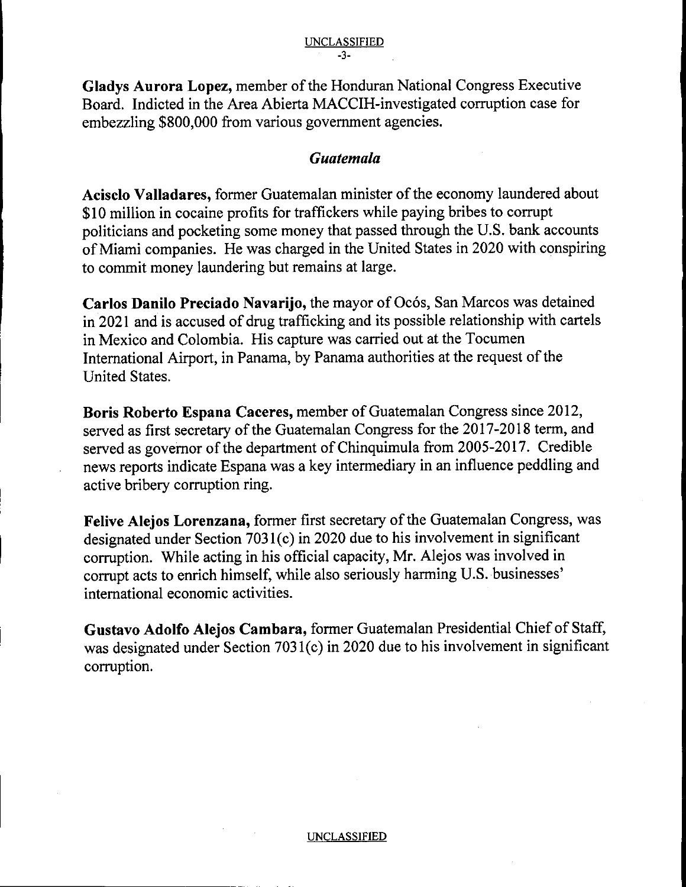**Gladys Aurora Lopez,** member of the Honduran National Congress Executive Board. Indicted in the Area Abierta MACCIH-investigated corruption case for embezzling \$800,000 from various government agencies.

# *Guatemala*

**Acisclo Valladares,** former Guatemalan minister of the economy laundered about \$10 million in cocaine profits for traffickers while paying bribes to corrupt politicians and pocketing some money that passed through the U.S. bank accounts of Miami companies. He was charged in the United States in 2020 with conspiring to commit money laundering but remains at large.

**Carlos Danilo Preciado Navarijo, the mayor of Ocós, San Marcos was detained** in 2021 and is accused of drug trafficking and its possible relationship with cartels in Mexico and Colombia. His capture was carried out at the Tocumen International Airport, in Panama, by Panama authorities at the request of the United States.

**Boris Roberto Espana Caceres,** member of Guatemalan Congress since 2012, served as first secretary of the Guatemalan Congress for the 2017-2018 term, and served as governor of the department of Chinquimula from 2005-2017. Credible news reports indicate Espana was a key intermediary in an influence peddling and active bribery corruption ring.

**Felive Alejos Lorenzana,** former first secretary of the Guatemalan Congress, was designated under Section 7031(c) in 2020 due to his involvement in significant corruption. While acting in his official capacity, Mr. Alejos was involved in corrupt acts to enrich himself, while also seriously harming U.S. businesses' international economic activities.

**Gustavo Adolfo Alejos Cambara,** former Guatemalan Presidential Chief of Staff, was designated under Section 7031(c) in 2020 due to his involvement in significant corruption.